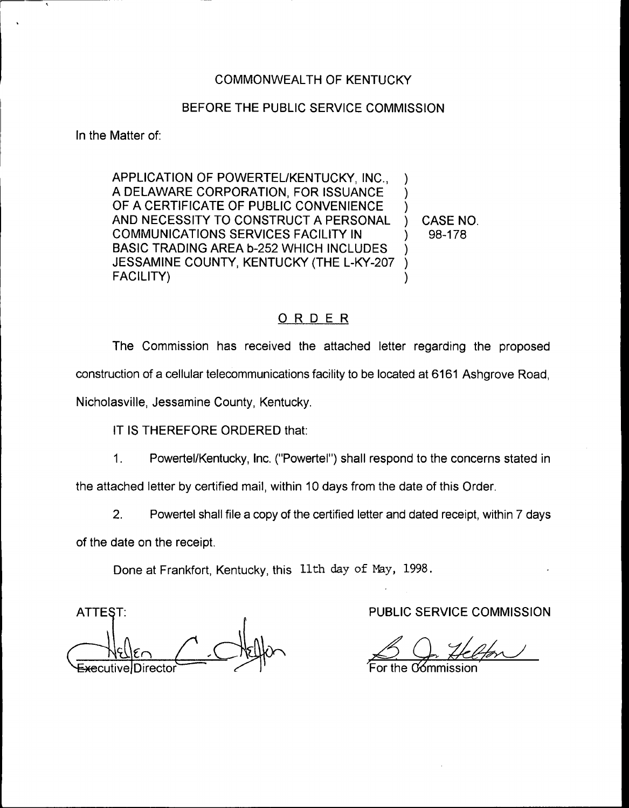## COMMONWEALTH OF KENTUCKY

#### BEFORE THE PUBLIC SERVICE COMMISSION

In the Matter of:

APPLICATION OF POWERTEL/KENTUCKY, INC., A DELAWARE CORPORATION, FOR ISSUANCE OF A CERTIFICATE OF PUBLIC CONVENIENCE AND NECESSITY TO CONSTRUCT A PERSONAL COMMUNICATIONS SERVICES FACILITY IN BASIC TRADING AREA b-252 WHICH INCLUDES JESSAMINE COUNTY, KENTUCKY (THE L-KY-207 FACILITY) ) ) ) ) CASE NO. ) 98-178 ) ) )

#### ORDER

The Commission has received the attached letter regarding the proposed construction of a cellular telecommunications facility to be located at 6161 Ashgrove Road,

Nicholasville, Jessamine County, Kentucky,

IT IS THEREFORE ORDERED that:

1. Powertel/Kentucky, Inc. ("Powertel") shall respond to the concerns stated in

the attached letter by certified mail, within 10 days from the date of this Order.

2. Powertel shall file a copy of the certified letter and dated receipt, within 7 days

of the date on the receipt.

Done at Frankfort, Kentucky, this 11th day of May, 1998.

**ATTEST:** 

PUBLIC SERVICE COMMISSION

For the C⁄ommissic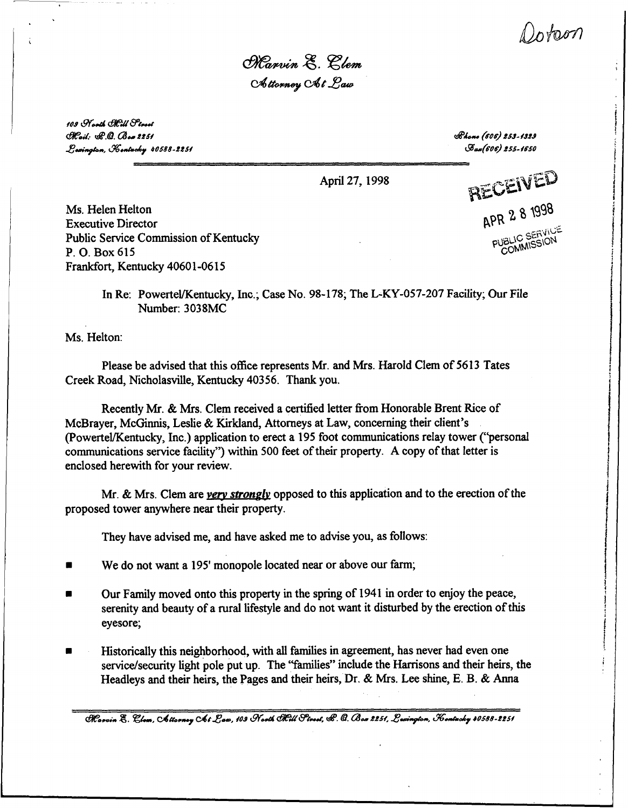Dotam

Marvin E. Clem Attorney At Law

109 North Mill Street  $C<sub>rel</sub>:$   $C<sub>l</sub>$  $C<sub>l</sub>$   $C<sub>l</sub>$   $C<sub>l</sub>$   $C<sub>l</sub>$   $C<sub>l</sub>$   $C<sub>l</sub>$ Lavington, Kontucky 40588-2251

 $R$ hono (606) 253-1329 A (woo) oss-rsso

Ms. Helen Helton Executive Director Public Service Commission of Kentucky P. O. Box 615 Frankfort, Kentucky 40601-0615

April 27, 1998 **round the set of**  $\mathbb{E} \mathbb{D}$ APR 281998 PUBLI<sub>MMISSI</sub>

In Re: Powertel/Kentucky, Inc.; Case No. 98-178; The L-KY-057-207 Facility; Our File Number: 3038MC

Ms. Helton:

Please be advised that this office represents Mr. and Mrs. Harold Clem of 5613 Tates Creek Road, Nicholasville, Kentucky 40356. Thank you.

Recently Mr. & Mrs. Clem received a certified letter from Honorable Brent Rice of McBrayer, McGinnis, Leslie & Kirkland, Attorneys at Law, concerning their client's (Powertel/Kentucky, Inc.) application to erect a 195 foot communications relay tower ("personal communications service facility") within 500 feet of their property. A copy of that letter is enclosed herewith for your review.

Mr. & Mrs. Clem are very strongly opposed to this application and to the erection of the proposed tower anywhere near their property.

They have advised me, and have asked me to advise you, as follows:

- We do not want a 195' monopole located near or above our farm;
- Our Family moved onto this property in the spring of 1941 in order to enjoy the peace, serenity and beauty of a rural lifestyle and do not want it disturbed by the erection of this eyesore;
- Historically this neighborhood, with all families in agreement, has never had even one service/security light pole put up. The "families" include the Harrisons and their heirs, the Headleys and their heirs, the Pages and their heirs, Dr. & Mrs. Lee shine, E. B. & Anna

 $\partial$ Rasvin E. Clom, Attorney At Law, 109 North ORH Flrest,  $\mathscr C$ . Q. Boa 2251, Lexington, Kentucky 40588-2251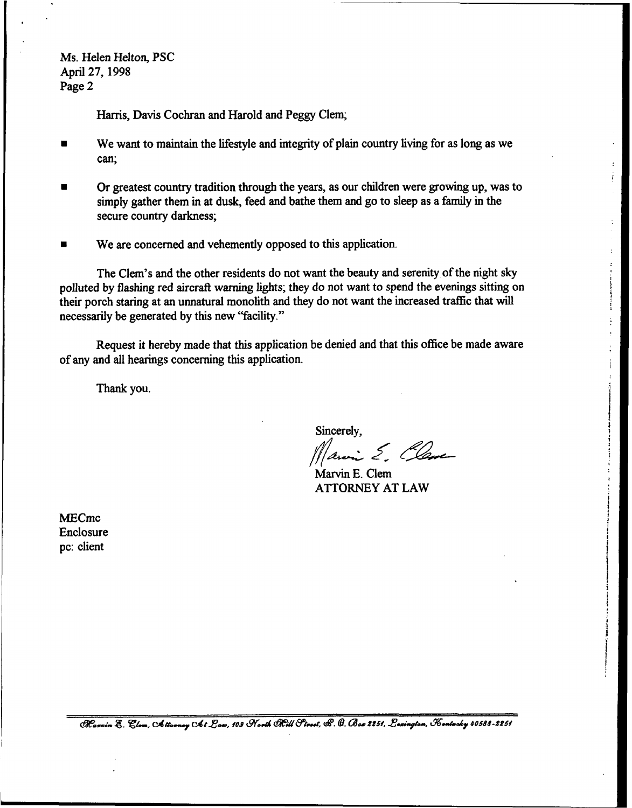Ms. Helen Helton, PSC April 27, 1998 Page 2

Harris, Davis Cochran and Harold and Peggy Clem;

- ~ We want to maintain the lifestyle and integrity of plain country living for as long as we can;
- Or greatest country tradition through the years, as our children were growing up, was to  $\blacksquare$ simply gather them in at dusk, feed and bathe them and go to sleep as a family in the secure country darkness;
- We are concerned and vehemently opposed to this application.

The Clem's and the other residents do not want the beauty and serenity of the night sky polluted by flashing red aircraft warning lights; they do not want to spend the evenings sitting on their porch staring at an unnatural monolith and they do not want the increased traffic that will necessarily be generated by this new "facility."

Request it hereby made that this application be denied and that this office be made aware of any and all hearings concerning this application.

Thank you.

Sincerely,<br>*Maring E. Clame* 

Marvin E. Clem ATTORNEY AT LAW

MECmc Enclosure pc: client

Rosvin E. Clom, Attorney Chi Law, 109 North Elill Street, &. G. Box 2251, Lexington, Kontacky 40588-2251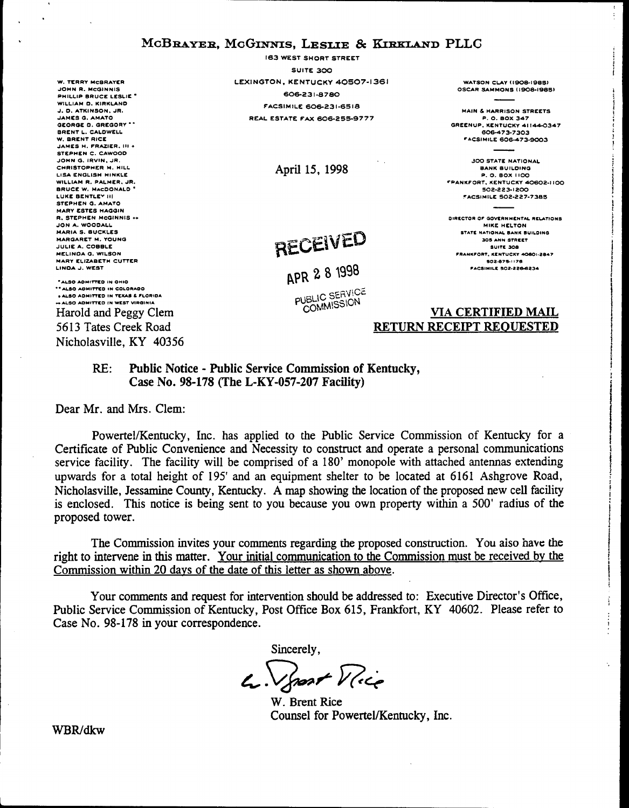# MCBRAYER, MCGINNIS, LESLIE & KIRKLAND PLLC

**W. TERRY MCBRAYER** JOHN R. MCGINNIS PHILLIP BRUCE LESLIE<sup>\*</sup> WILLIAM D. KIRKLAND J. D. ATKINSON, JR. JAMES G. AMATO GEORGE D. GREGORY \*\* BRENT L. CALDWELL W BRENT BICE JAMES H. FRAZIER, III + STEPHEN C. CAWOOD JOHN G. IRVIN. JR. CHRISTOPHER M. HILL LISA ENGLISH HINKLE WILLIAM R. PALMER, JR. BRUCE W. MACDONALD LUKE BENTLEY III STEPHEN G. AMATO **MARY ESTES HAGGIN** R. STEPHEN MCGINNIS ++ JON A. WOODALL MARIA S. BUCKLES MARGARET M. YOUNG JULIE A. COBBLE MELINDA G. WILSON MARY ELIZABETH CUTTER LINDA J. WEST

" ALSO ADMITTED IN OHIO \*\* ALSO ADMITTED IN COLORADO . ALSO ADMITTED IN TEXAS & FLORIDA +ALSO ADMITTED IN WEST VIRGINIA Harold and Peggy Clem 5613 Tates Creek Road Nicholasville, KY 40356

**163 WEST SHORT STREET** SUITE 300 LEXINGTON, KENTUCKY 40507-1361 606-231-8780 **FACSIMILE 606-231-6518 REAL ESTATE FAX 606-255-9777** 

April 15, 1998

# RECEIVED

APR 2 8 1998

PUBLIC SERVICE COMMISSION

WATSON CLAY (1908-1985) OSCAR SAMMONS (1908-1985)

**MAIN & HARRISON STREETS** P. O. BOX 347 GREENUP, KENTUCKY 41144-0347 606-473-7303 **FACSIMILE 606-473-9003** 

**300 STATE NATIONAL BANK BUILDING** P. O. BOX 1100 **FPANKFORT, KENTUCKY 40602-1100** 502-223-1200 **FACSIMILE 502-227-7385** 

DIRECTOR OF GOVERNMENTAL RELATIONS MIKE HELTON STATE NATIONAL BANK BUILDING **JOB ANN STREET** SUITE 308 FRANKFORT, KENTUCKY 40601-2847 502-875-1176 **FACSIMILE 502-226-6234** 

## **VIA CERTIFIED MAIL** RETURN RECEIPT REOUESTED

#### Public Notice - Public Service Commission of Kentucky,  $RE:$ Case No. 98-178 (The L-KY-057-207 Facility)

Dear Mr. and Mrs. Clem:

Powertel/Kentucky, Inc. has applied to the Public Service Commission of Kentucky for a Certificate of Public Convenience and Necessity to construct and operate a personal communications service facility. The facility will be comprised of a 180' monopole with attached antennas extending upwards for a total height of 195' and an equipment shelter to be located at 6161 Ashgrove Road, Nicholasville, Jessamine County, Kentucky. A map showing the location of the proposed new cell facility is enclosed. This notice is being sent to you because you own property within a 500' radius of the proposed tower.

The Commission invites your comments regarding the proposed construction. You also have the right to intervene in this matter. Your initial communication to the Commission must be received by the Commission within 20 days of the date of this letter as shown above.

Your comments and request for intervention should be addressed to: Executive Director's Office, Public Service Commission of Kentucky, Post Office Box 615, Frankfort, KY 40602. Please refer to Case No. 98-178 in your correspondence.

Sincerely,

4. Sport Vice

W. Brent Rice Counsel for Powertel/Kentucky, Inc.

WBR/dkw